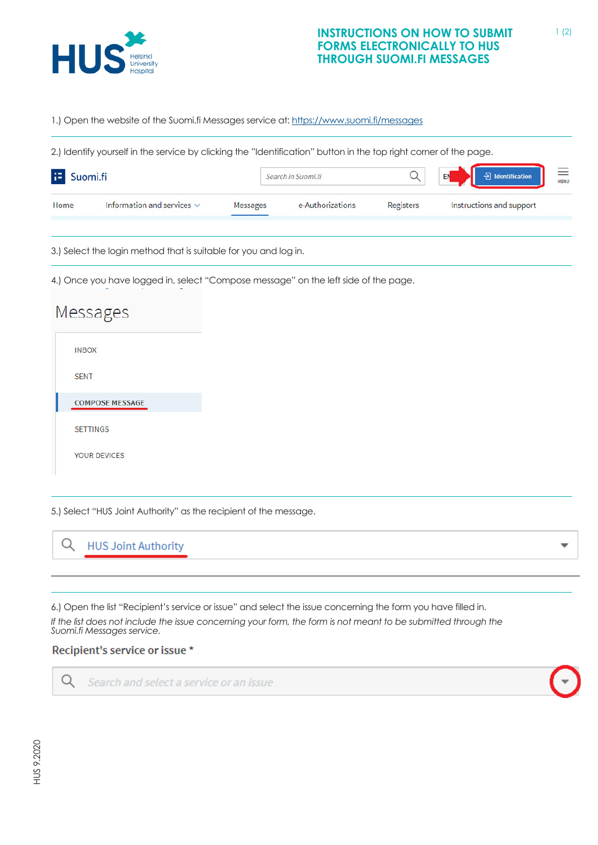

1.) Open the website of the Suomi.fi Messages service at: <u><https://www.suomi.fi/messages></u>

page. 2.) Identify yourself in the service by clicking the "Identification" button in the top right corner of the page.

 $\sim$  0.000 m have logged in, select the left side of the left side of the page. The page of the page  $\sim$ 

| æ<br>Suomi.fi |                                 | Search in Suomi.fi |                  | $\equiv$<br>$\Theta$ Identification<br>EN |                          |  |
|---------------|---------------------------------|--------------------|------------------|-------------------------------------------|--------------------------|--|
| Home          | Information and services $\vee$ | <b>Messages</b>    | e-Authorizations | Registers                                 | Instructions and support |  |

3.) Select the login method that is suitable for you and log in.

4.) Once you have logged in, select "Compose message" on the left side of the page.

## Messages **INBOX SENT COMPOSE MESSAGE SETTINGS** YOUR DEVICES

5.) Select "HUS Joint Authority" as the recipient of the message. 5.) Select "HUS Joint Authority" as the recipient of the message.

Q **HUS Joint Authority** 5.) Select "HUS Joint Authority" as the recipient of the message.

*If the list does not include the issue concerning your form, the form is not meant to be submitted*  6.) Open the list "Recipient's service or issue" and select the issue concerning the form you have filled in.

If the list does not include the issue concerning your form, the form is not meant to be submitted through the<br>Suomi fi Messages service *Suomi.fi Messages service.*

## Recipient's service or issue \*

Search and select a service or an issue



Q